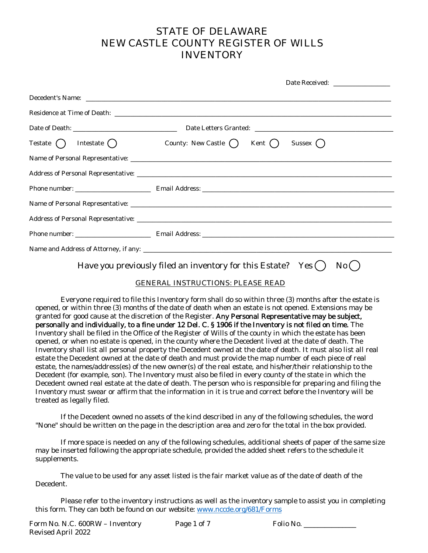### **STATE OF DELAWARE NEW CASTLE COUNTY REGISTER OF WILLS INVENTORY**

| Date Received: _________________                                                                                                                                                                                                     |
|--------------------------------------------------------------------------------------------------------------------------------------------------------------------------------------------------------------------------------------|
| Decedent's Name: Name: Name: Name: Name: Name: Name: Name: Name: Name: Name: Name: Name: Name: Name: Name: Name: Name: Name: Name: Name: Name: Name: Name: Name: Name: Name: Name: Name: Name: Name: Name: Name: Name: Name: N       |
| Residence at Time of Death: <u>contract and a series of the series of the series of the series of the series of the series of the series of the series of the series of the series of the series of the series of the series of </u> |
|                                                                                                                                                                                                                                      |
| Testate $\bigcap$ Intestate $\bigcap$ County: New Castle $\bigcap$ Kent $\bigcap$ Sussex $\bigcap$                                                                                                                                   |
|                                                                                                                                                                                                                                      |
|                                                                                                                                                                                                                                      |
|                                                                                                                                                                                                                                      |
|                                                                                                                                                                                                                                      |
|                                                                                                                                                                                                                                      |
|                                                                                                                                                                                                                                      |
|                                                                                                                                                                                                                                      |
|                                                                                                                                                                                                                                      |

## Have you previously filed an inventory for this Estate? Yes  $( )$  No  $( )$

#### **GENERAL INSTRUCTIONS: PLEASE READ**

Everyone required to file this Inventory form shall do so within three (3) months after the estate is opened, or within three (3) months of the date of death when an estate is not opened. Extensions may be granted for good cause at the discretion of the Register. Any Personal Representative may be subject, personally and individually, to a fine under 12 Del. C. § 1906 if the Inventory is not filed on time. The Inventory shall be filed in the Office of the Register of Wills of the county in which the estate has been opened, or when no estate is opened, in the county where the Decedent lived at the date of death. The Inventory shall list all personal property the Decedent owned at the date of death. It must also list all real estate the Decedent owned at the date of death and must provide the map number of each piece of real estate, the names/address(es) of the new owner(s) of the real estate, and his/her/their relationship to the Decedent (for example, son). The Inventory must also be filed in every county of the state in which the Decedent owned real estate at the date of death. The person who is responsible for preparing and filing the Inventory must swear or affirm that the information in it is true and correct before the Inventory will be treated as legally filed.

If the Decedent owned no assets of the kind described in any of the following schedules, the word "None" should be written on the page in the description area and zero for the total in the box provided.

If more space is needed on any of the following schedules, additional sheets of paper of the same size may be inserted following the appropriate schedule, provided the added sheet refers to the schedule it supplements.

The value to be used for any asset listed is the fair market value as of the date of death of the Decedent.

Please refer to the inventory instructions as well as the inventory sample to assist you in completing this form. They can both be found on our website: www.nccde.org/681/Forms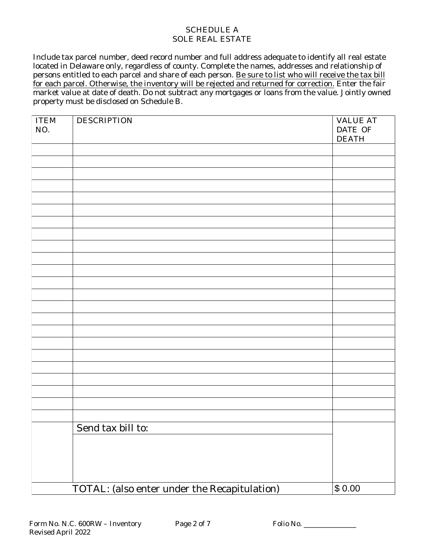#### **SCHEDULE A SOLE REAL ESTATE**

Include tax parcel number, deed record number and full address adequate to identify all real estate located in Delaware only, regardless of county. Complete the names, addresses and relationship of persons entitled to each parcel and share of each person. Be sure to list who will receive the tax bill for each parcel. Otherwise, the inventory will be rejected and returned for correction. Enter the fair market value at date of death. Do not subtract any mortgages or loans from the value. Jointly owned property must be disclosed on Schedule B.

| <b>ITEM</b><br>NO. | <b>DESCRIPTION</b>                                  | <b>VALUE AT</b><br>DATE OF<br><b>DEATH</b> |
|--------------------|-----------------------------------------------------|--------------------------------------------|
|                    |                                                     |                                            |
|                    |                                                     |                                            |
|                    |                                                     |                                            |
|                    |                                                     |                                            |
|                    |                                                     |                                            |
|                    |                                                     |                                            |
|                    |                                                     |                                            |
|                    |                                                     |                                            |
|                    |                                                     |                                            |
|                    |                                                     |                                            |
|                    |                                                     |                                            |
|                    |                                                     |                                            |
|                    |                                                     |                                            |
|                    |                                                     |                                            |
|                    |                                                     |                                            |
|                    |                                                     |                                            |
|                    |                                                     |                                            |
|                    |                                                     |                                            |
|                    |                                                     |                                            |
|                    |                                                     |                                            |
|                    |                                                     |                                            |
|                    |                                                     |                                            |
|                    |                                                     |                                            |
|                    | Send tax bill to:                                   |                                            |
|                    |                                                     |                                            |
|                    |                                                     |                                            |
|                    |                                                     |                                            |
|                    |                                                     |                                            |
|                    | <b>TOTAL: (also enter under the Recapitulation)</b> | \$0.00                                     |

Folio No.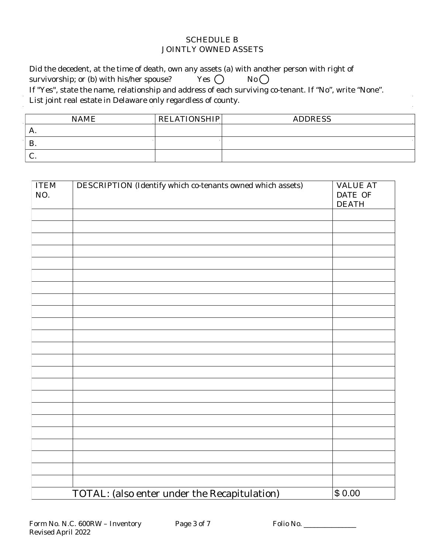#### **SCHEDULE B JOINTLY OWNED ASSETS**

Did the decedent, at the time of death, own any assets (a) with another person with right of Yes  $\bigcap$  $No$ survivorship; or (b) with his/her spouse? If "Yes", state the name, relationship and address of each surviving co-tenant. If "No", write "None". List joint real estate in Delaware only regardless of county.

| <b>NAME</b> | <b>RELATIONSHIP</b> | <b>ADDRESS</b> |
|-------------|---------------------|----------------|
| А.          |                     |                |
| D<br>D.     |                     |                |
| J.          |                     |                |

| <b>ITEM</b><br>NO. | <b>DESCRIPTION (Identify which co-tenants owned which assets)</b> | <b>VALUE AT</b><br><b>DATE OF</b><br><b>DEATH</b> |
|--------------------|-------------------------------------------------------------------|---------------------------------------------------|
|                    |                                                                   |                                                   |
|                    |                                                                   |                                                   |
|                    |                                                                   |                                                   |
|                    |                                                                   |                                                   |
|                    |                                                                   |                                                   |
|                    |                                                                   |                                                   |
|                    |                                                                   |                                                   |
|                    |                                                                   |                                                   |
|                    |                                                                   |                                                   |
|                    |                                                                   |                                                   |
|                    |                                                                   |                                                   |
|                    |                                                                   |                                                   |
|                    |                                                                   |                                                   |
|                    |                                                                   |                                                   |
|                    |                                                                   |                                                   |
|                    |                                                                   |                                                   |
|                    |                                                                   |                                                   |
|                    |                                                                   |                                                   |
|                    |                                                                   |                                                   |
|                    |                                                                   |                                                   |
|                    |                                                                   |                                                   |
|                    | <b>TOTAL: (also enter under the Recapitulation)</b>               | \$0.00                                            |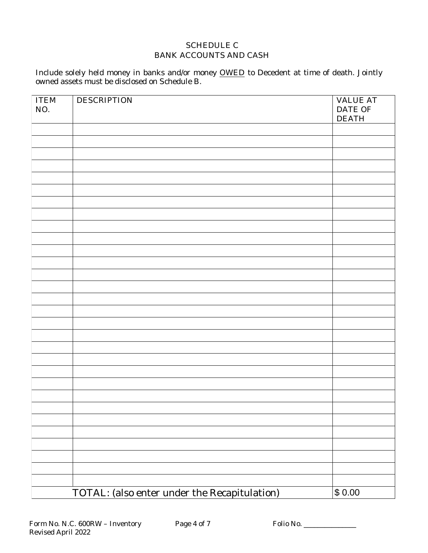#### **SCHEDULE C BANK ACCOUNTS AND CASH**

Include solely held money in banks and/or money OWED to Decedent at time of death. Jointly owned assets must be disclosed on Schedule B.

| <b>ITEM</b><br>NO. | <b>DESCRIPTION</b>                                  | <b>VALUE AT</b><br>DATE OF<br><b>DEATH</b> |
|--------------------|-----------------------------------------------------|--------------------------------------------|
|                    |                                                     |                                            |
|                    |                                                     |                                            |
|                    |                                                     |                                            |
|                    |                                                     |                                            |
|                    |                                                     |                                            |
|                    |                                                     |                                            |
|                    |                                                     |                                            |
|                    |                                                     |                                            |
|                    |                                                     |                                            |
|                    |                                                     |                                            |
|                    |                                                     |                                            |
|                    |                                                     |                                            |
|                    |                                                     |                                            |
|                    |                                                     |                                            |
|                    |                                                     |                                            |
|                    |                                                     |                                            |
|                    |                                                     |                                            |
|                    |                                                     |                                            |
|                    |                                                     |                                            |
|                    |                                                     |                                            |
|                    |                                                     |                                            |
|                    |                                                     |                                            |
|                    |                                                     |                                            |
|                    |                                                     |                                            |
|                    |                                                     |                                            |
|                    |                                                     |                                            |
|                    |                                                     |                                            |
|                    |                                                     |                                            |
|                    |                                                     |                                            |
|                    | <b>TOTAL: (also enter under the Recapitulation)</b> | \$0.00                                     |

Folio No.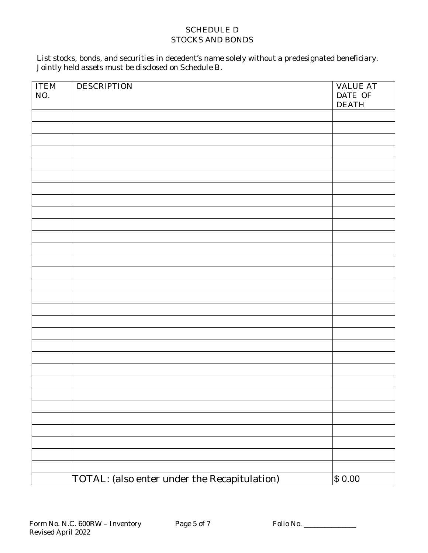#### **SCHEDULE D STOCKS AND BONDS**

# List stocks, bonds, and securities in decedent's name solely without a predesignated beneficiary.<br>Jointly held assets must be disclosed on Schedule B.

| \$0.00<br><b>TOTAL: (also enter under the Recapitulation)</b> | <b>ITEM</b><br>NO. | <b>DESCRIPTION</b> | <b>VALUE AT</b><br>DATE OF<br><b>DEATH</b> |
|---------------------------------------------------------------|--------------------|--------------------|--------------------------------------------|
|                                                               |                    |                    |                                            |
|                                                               |                    |                    |                                            |
|                                                               |                    |                    |                                            |
|                                                               |                    |                    |                                            |
|                                                               |                    |                    |                                            |
|                                                               |                    |                    |                                            |
|                                                               |                    |                    |                                            |
|                                                               |                    |                    |                                            |
|                                                               |                    |                    |                                            |
|                                                               |                    |                    |                                            |
|                                                               |                    |                    |                                            |
|                                                               |                    |                    |                                            |
|                                                               |                    |                    |                                            |
|                                                               |                    |                    |                                            |
|                                                               |                    |                    |                                            |
|                                                               |                    |                    |                                            |
|                                                               |                    |                    |                                            |
|                                                               |                    |                    |                                            |
|                                                               |                    |                    |                                            |
|                                                               |                    |                    |                                            |
|                                                               |                    |                    |                                            |
|                                                               |                    |                    |                                            |
|                                                               |                    |                    |                                            |
|                                                               |                    |                    |                                            |
|                                                               |                    |                    |                                            |
|                                                               |                    |                    |                                            |
|                                                               |                    |                    |                                            |
|                                                               |                    |                    |                                            |
|                                                               |                    |                    |                                            |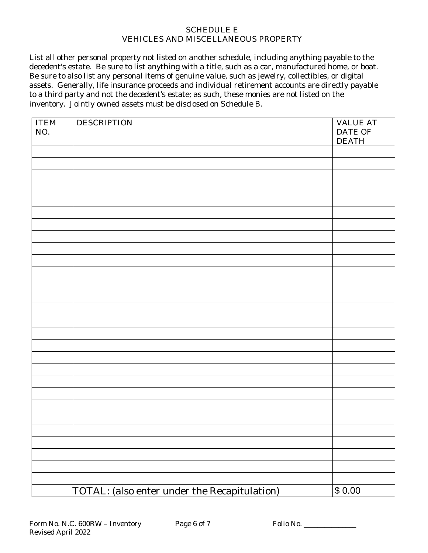#### **SCHEDULE E VEHICLES AND MISCELLANEOUS PROPERTY**

List all other personal property not listed on another schedule, including anything payable to the decedent's estate. Be sure to list anything with a title, such as a car, manufactured home, or boat. Be sure to also list any personal items of genuine value, such as jewelry, collectibles, or digital assets. Generally, life insurance proceeds and individual retirement accounts are directly payable to a third party and not the decedent's estate; as such, these monies are not listed on the inventory. Jointly owned assets must be disclosed on Schedule B.

| <b>ITEM</b><br>NO. | <b>DESCRIPTION</b>                                  | <b>VALUE AT</b><br><b>DATE OF</b><br><b>DEATH</b> |
|--------------------|-----------------------------------------------------|---------------------------------------------------|
|                    |                                                     |                                                   |
|                    |                                                     |                                                   |
|                    |                                                     |                                                   |
|                    |                                                     |                                                   |
|                    |                                                     |                                                   |
|                    |                                                     |                                                   |
|                    |                                                     |                                                   |
|                    |                                                     |                                                   |
|                    |                                                     |                                                   |
|                    |                                                     |                                                   |
|                    |                                                     |                                                   |
|                    |                                                     |                                                   |
|                    |                                                     |                                                   |
|                    |                                                     |                                                   |
|                    |                                                     |                                                   |
|                    |                                                     |                                                   |
|                    |                                                     |                                                   |
|                    |                                                     |                                                   |
|                    |                                                     |                                                   |
|                    |                                                     |                                                   |
|                    |                                                     |                                                   |
|                    |                                                     |                                                   |
|                    |                                                     |                                                   |
|                    |                                                     |                                                   |
|                    |                                                     |                                                   |
|                    |                                                     |                                                   |
|                    |                                                     |                                                   |
|                    |                                                     |                                                   |
|                    | <b>TOTAL:</b> (also enter under the Recapitulation) | \$0.00                                            |